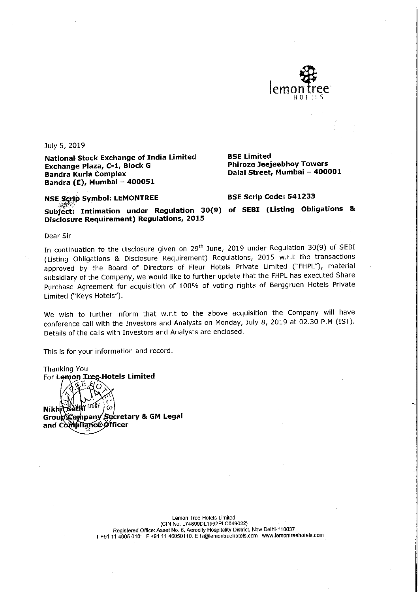

July 5, 2019

National Stock Exchange of India Limited Exchange Plaza, C-1, Block G **Bandra Kurla Complex** Bandra (E), Mumbai - 400051

**BSE Limited Phiroze Jeejeebhoy Towers** Dalal Street, Mumbai - 400001

## NSE Serip Symbol: LEMONTREE

#### **BSE Scrip Code: 541233**

Subject: Intimation under Regulation 30(9) of SEBI (Listing Obligations & **Disclosure Requirement) Regulations, 2015** 

Dear Sir

**Thanking You** 

In continuation to the disclosure given on 29<sup>th</sup> June, 2019 under Regulation 30(9) of SEBI (Listing Obligations & Disclosure Requirement) Regulations, 2015 w.r.t the transactions approved by the Board of Directors of Fleur Hotels Private Limited ("FHPL"), material subsidiary of the Company, we would like to further update that the FHPL has executed Share Purchase Agreement for acquisition of 100% of voting rights of Berggruen Hotels Private Limited ("Keys Hotels").

We wish to further inform that w.r.t to the above acquisition the Company will have conference call with the Investors and Analysts on Monday, July 8, 2019 at 02.30 P.M (IST). Details of the calls with Investors and Analysts are enclosed.

This is for your information and record.

For Lemon Tree Hotels Limited  $\Omega$ **Nikhji Sëti** Group Company Secretary & GM Legal and Compliance officer

> Lemon Tree Hotels Limited (CIN No. L74899DL1992PLC049022) Registered Office: Asset No. 6, Aerocity Hospitality District, New Delhi-110037<br>T+91 11 4605 0101, F +91 11 46050110. E hi@lemontreehotels.com www.lemontreehotels.com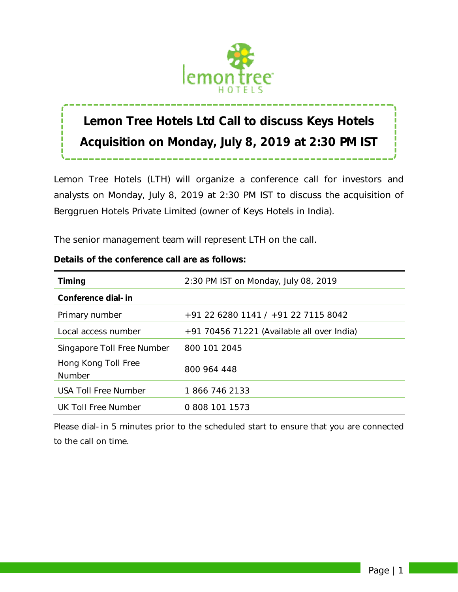

# **Lemon Tree Hotels Ltd Call to discuss Keys Hotels Acquisition on Monday, July 8, 2019 at 2:30 PM IST**

Lemon Tree Hotels (LTH) will organize a conference call for investors and analysts on Monday, July 8, 2019 at 2:30 PM IST to discuss the acquisition of Berggruen Hotels Private Limited (owner of Keys Hotels in India).

The senior management team will represent LTH on the call.

| <b>Timing</b>                        | 2:30 PM IST on Monday, July 08, 2019         |
|--------------------------------------|----------------------------------------------|
| Conference dial-in                   |                                              |
| Primary number                       | +91 22 6280 1141 / +91 22 7115 8042          |
| Local access number                  | $+91$ 70456 71221 (Available all over India) |
| Singapore Toll Free Number           | 800 101 2045                                 |
| Hong Kong Toll Free<br><b>Number</b> | 800 964 448                                  |
| <b>USA Toll Free Number</b>          | 1866 746 2133                                |
| UK Toll Free Number                  | 0 808 101 1573                               |

# **Details of the conference call are as follows:**

*Please dial-in 5 minutes prior to the scheduled start to ensure that you are connected to the call on time.*